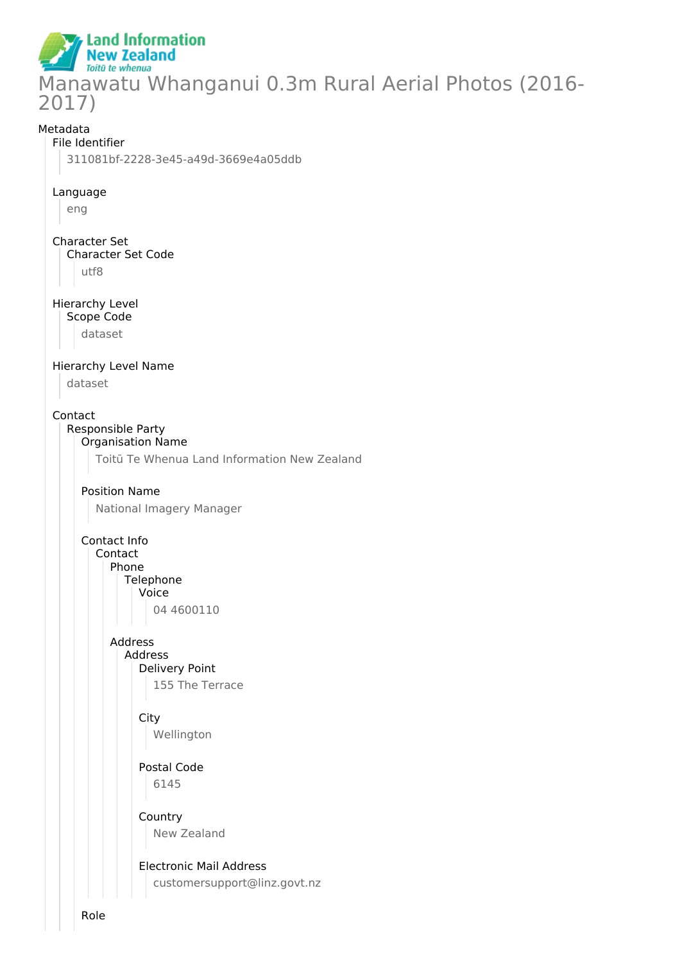**Land Information New Zealand** Toitū te whenua Manawatu Whanganui 0.3m Rural Aerial Photos (2016- 2017)

#### Metadata

#### File Identifier

311081bf-2228-3e45-a49d-3669e4a05ddb

#### Language

eng

Character Set Character Set Code utf8

#### Hierarchy Level Scope Code

dataset

#### Hierarchy Level Name

dataset

#### Contact

# Responsible Party

Organisation Name

Toitū Te Whenua Land Information New Zealand

# Position Name

National Imagery Manager

#### Contact Info

Contact Phone

### Telephone

Voice

04 4600110

## Address Address

Delivery Point 155 The Terrace

# **City**

Wellington

#### Postal Code 6145

Country New Zealand

#### Electronic Mail Address customersupport@linz.govt.nz

Role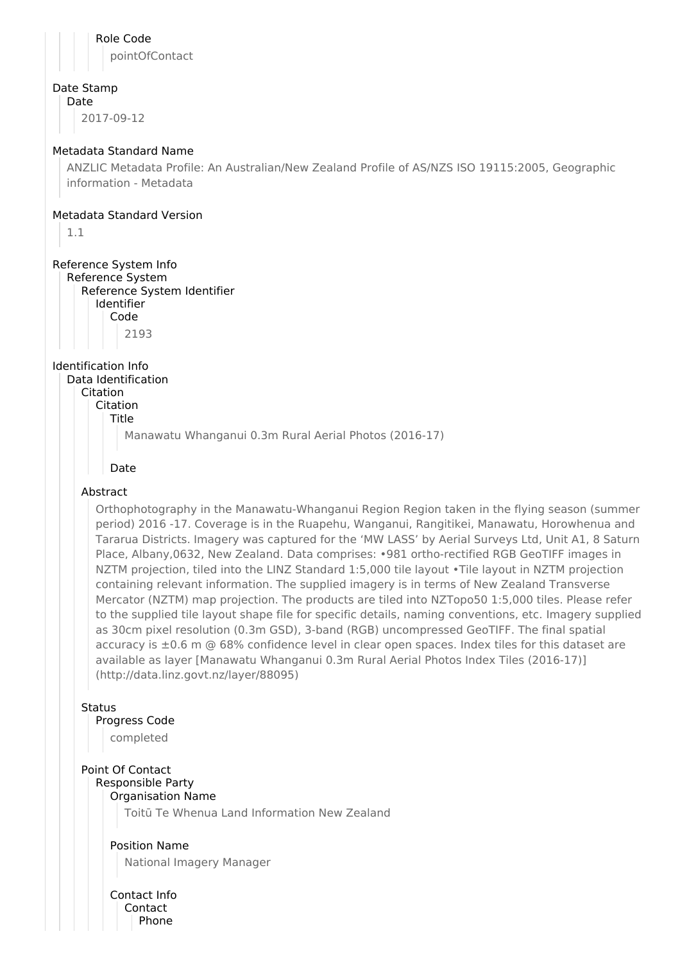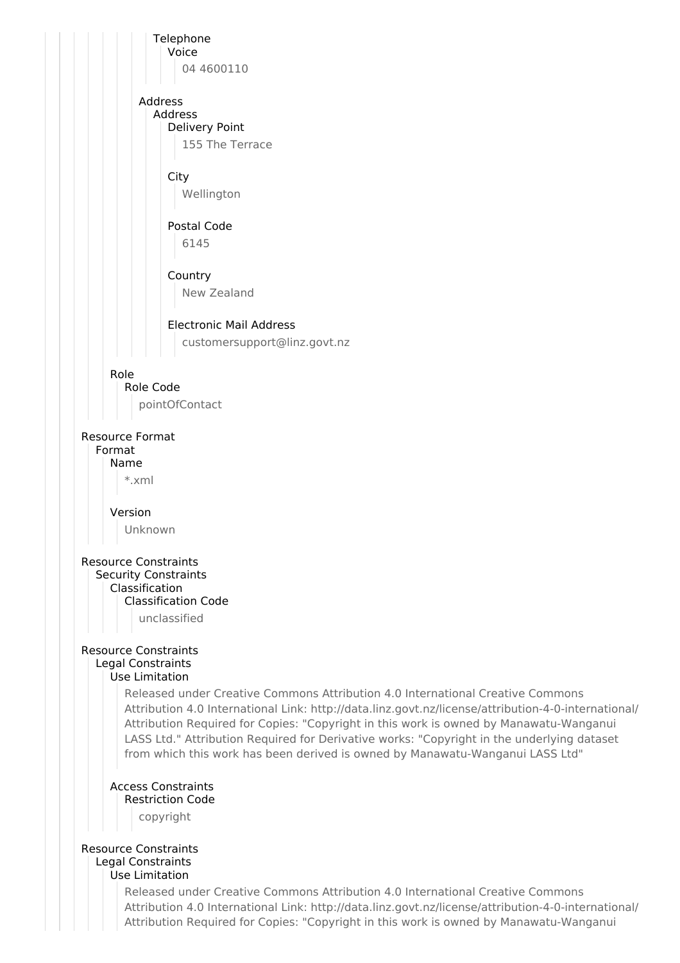

Attribution 4.0 International Link: http://data.linz.govt.nz/license/attribution-4-0-international/ Attribution Required for Copies: "Copyright in this work is owned by Manawatu-Wanganui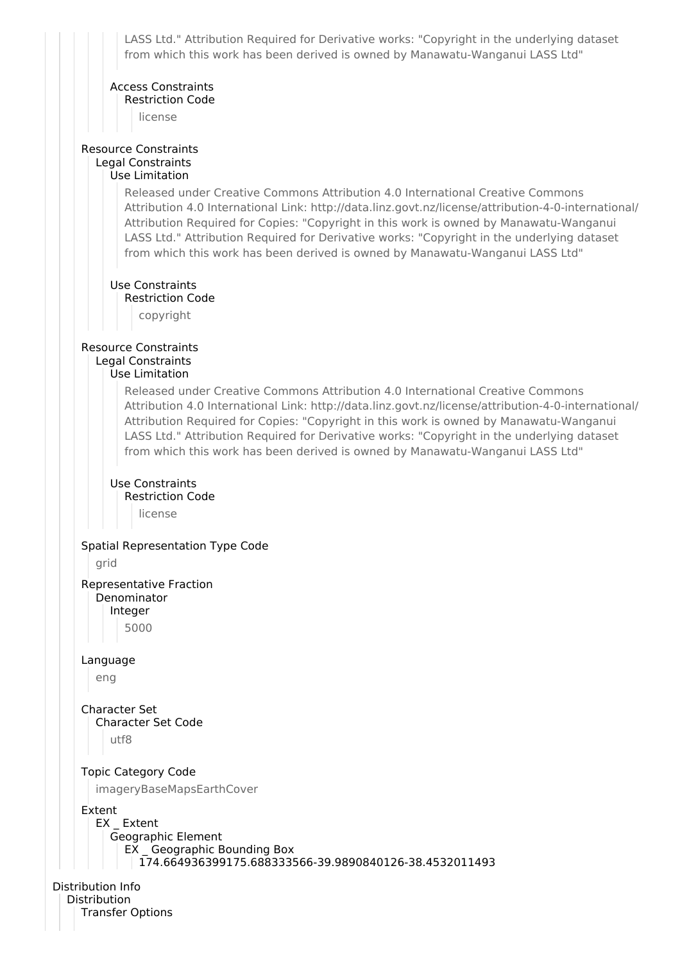LASS Ltd." Attribution Required for Derivative works: "Copyright in the underlying dataset from which this work has been derived is owned by Manawatu-Wanganui LASS Ltd"

#### Access Constraints Restriction Code

license

#### Resource Constraints Legal Constraints Use Limitation

Released under Creative Commons Attribution 4.0 International Creative Commons Attribution 4.0 International Link: http://data.linz.govt.nz/license/attribution-4-0-international/ Attribution Required for Copies: "Copyright in this work is owned by Manawatu-Wanganui LASS Ltd." Attribution Required for Derivative works: "Copyright in the underlying dataset from which this work has been derived is owned by Manawatu-Wanganui LASS Ltd"

Use Constraints

Restriction Code

copyright

#### Resource Constraints Legal Constraints

#### Use Limitation

Released under Creative Commons Attribution 4.0 International Creative Commons Attribution 4.0 International Link: http://data.linz.govt.nz/license/attribution-4-0-international/ Attribution Required for Copies: "Copyright in this work is owned by Manawatu-Wanganui LASS Ltd." Attribution Required for Derivative works: "Copyright in the underlying dataset from which this work has been derived is owned by Manawatu-Wanganui LASS Ltd"

#### Use Constraints

Restriction Code license

#### Spatial Representation Type Code

grid

Representative Fraction Denominator Integer

5000

Language

eng

Character Set Character Set Code

```
utf8
```
Topic Category Code

imageryBaseMapsEarthCover

#### Extent

EX Extent Geographic Element EX \_ Geographic Bounding Box 174.664936399175.688333566-39.9890840126-38.4532011493

Distribution Info Distribution Transfer Options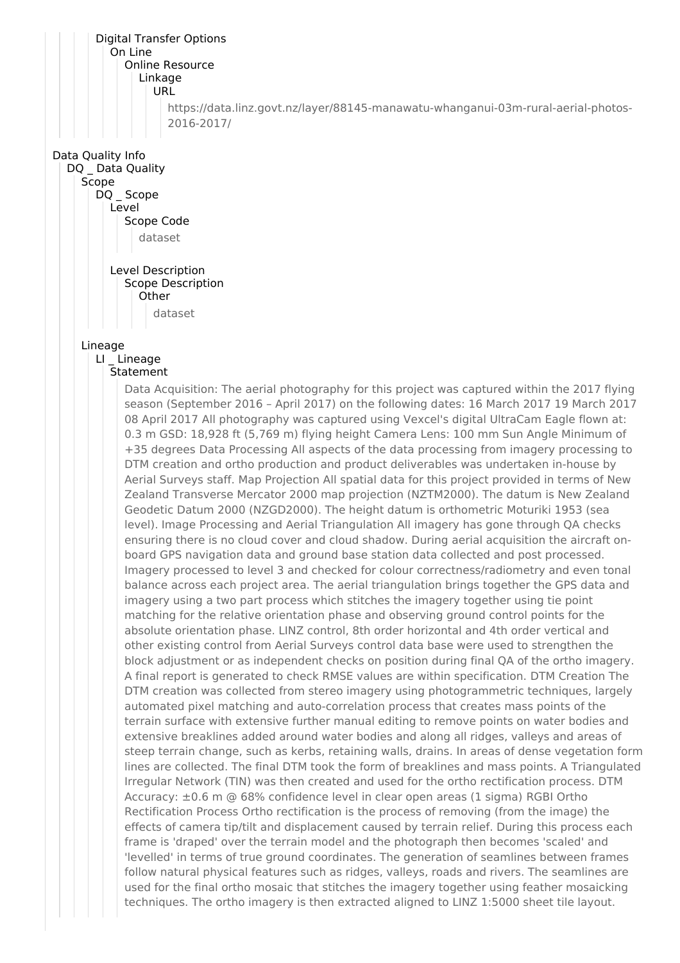Digital Transfer Options On Line Online Resource Linkage URL https://data.linz.govt.nz/layer/88145-manawatu-whanganui-03m-rural-aerial-photos-2016-2017/ Data Quality Info DQ Data Quality Scope DQ Scope Level Scope Code dataset Level Description Scope Description **Other** dataset Lineage LI \_ Lineage Statement Data Acquisition: The aerial photography for this project was captured within the 2017 flying season (September 2016 – April 2017) on the following dates: 16 March 2017 19 March 2017 08 April 2017 All photography was captured using Vexcel's digital UltraCam Eagle flown at: 0.3 m GSD: 18,928 ft (5,769 m) flying height Camera Lens: 100 mm Sun Angle Minimum of +35 degrees Data Processing All aspects of the data processing from imagery processing to DTM creation and ortho production and product deliverables was undertaken in-house by Aerial Surveys staff. Map Projection All spatial data for this project provided in terms of New Zealand Transverse Mercator 2000 map projection (NZTM2000). The datum is New Zealand Geodetic Datum 2000 (NZGD2000). The height datum is orthometric Moturiki 1953 (sea level). Image Processing and Aerial Triangulation All imagery has gone through QA checks ensuring there is no cloud cover and cloud shadow. During aerial acquisition the aircraft onboard GPS navigation data and ground base station data collected and post processed. Imagery processed to level 3 and checked for colour correctness/radiometry and even tonal balance across each project area. The aerial triangulation brings together the GPS data and imagery using a two part process which stitches the imagery together using tie point matching for the relative orientation phase and observing ground control points for the absolute orientation phase. LINZ control, 8th order horizontal and 4th order vertical and other existing control from Aerial Surveys control data base were used to strengthen the block adjustment or as independent checks on position during final QA of the ortho imagery. A final report is generated to check RMSE values are within specification. DTM Creation The DTM creation was collected from stereo imagery using photogrammetric techniques, largely automated pixel matching and auto-correlation process that creates mass points of the terrain surface with extensive further manual editing to remove points on water bodies and extensive breaklines added around water bodies and along all ridges, valleys and areas of steep terrain change, such as kerbs, retaining walls, drains. In areas of dense vegetation form lines are collected. The final DTM took the form of breaklines and mass points. A Triangulated Irregular Network (TIN) was then created and used for the ortho rectification process. DTM Accuracy: ±0.6 m @ 68% confidence level in clear open areas (1 sigma) RGBI Ortho Rectification Process Ortho rectification is the process of removing (from the image) the effects of camera tip/tilt and displacement caused by terrain relief. During this process each frame is 'draped' over the terrain model and the photograph then becomes 'scaled' and 'levelled' in terms of true ground coordinates. The generation of seamlines between frames follow natural physical features such as ridges, valleys, roads and rivers. The seamlines are used for the final ortho mosaic that stitches the imagery together using feather mosaicking techniques. The ortho imagery is then extracted aligned to LINZ 1:5000 sheet tile layout.